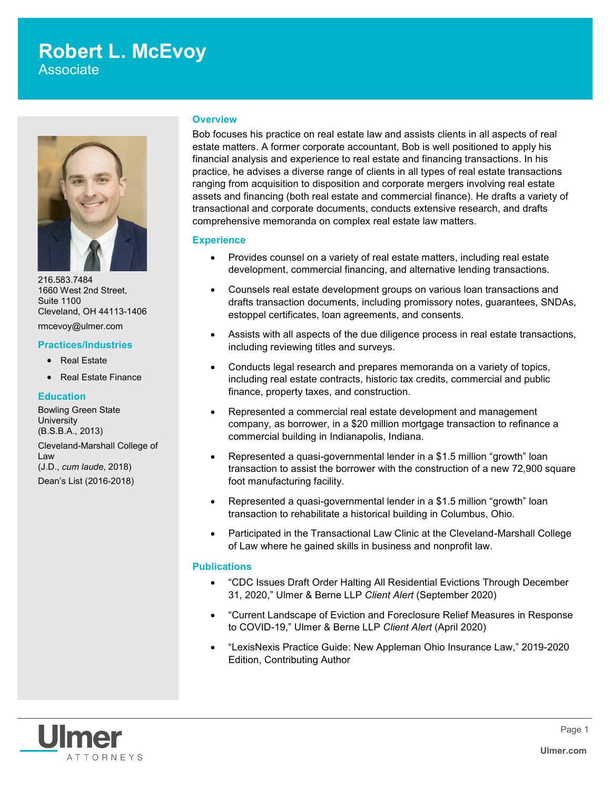## **Robert L. McEvoy**

Associate



216.583.7484 1660 West 2nd Street, Suite 1100 Cleveland, OH 44113-1406 rmcevoy@ulmer.com

### **Practices/Industries**

- Real Estate
- Real Estate Finance

### **Education**

Bowling Green State **University** (B.S.B.A., 2013) Cleveland-Marshall College of Law (J.D., *cum laude*, 2018) Dean's List (2016-2018)

### **Overview**

Bob focuses his practice on real estate law and assists clients in all aspects of real estate matters. A former corporate accountant, Bob is well positioned to apply his financial analysis and experience to real estate and financing transactions. In his practice, he advises a diverse range of clients in all types of real estate transactions ranging from acquisition to disposition and corporate mergers involving real estate assets and financing (both real estate and commercial finance). He drafts a variety of transactional and corporate documents, conducts extensive research, and drafts comprehensive memoranda on complex real estate law matters.

### **Experience**

- Provides counsel on a variety of real estate matters, including real estate development, commercial financing, and alternative lending transactions.
- Counsels real estate development groups on various loan transactions and drafts transaction documents, including promissory notes, guarantees, SNDAs, estoppel certificates, loan agreements, and consents.
- Assists with all aspects of the due diligence process in real estate transactions, including reviewing titles and surveys.
- Conducts legal research and prepares memoranda on a variety of topics, including real estate contracts, historic tax credits, commercial and public finance, property taxes, and construction.
- Represented a commercial real estate development and management company, as borrower, in a \$20 million mortgage transaction to refinance a commercial building in Indianapolis, Indiana.
- Represented a quasi-governmental lender in a \$1.5 million "growth" loan transaction to assist the borrower with the construction of a new 72,900 square foot manufacturing facility.
- Represented a quasi-governmental lender in a \$1.5 million "growth" loan transaction to rehabilitate a historical building in Columbus, Ohio.
- Participated in the Transactional Law Clinic at the Cleveland-Marshall College of Law where he gained skills in business and nonprofit law.

### **Publications**

- "CDC Issues Draft Order Halting All Residential Evictions Through December 31, 2020," Ulmer & Berne LLP *Client Alert* (September 2020)
- "Current Landscape of Eviction and Foreclosure Relief Measures in Response to COVID-19," Ulmer & Berne LLP *Client Alert* (April 2020)
- "LexisNexis Practice Guide: New Appleman Ohio Insurance Law," 2019-2020 Edition, Contributing Author